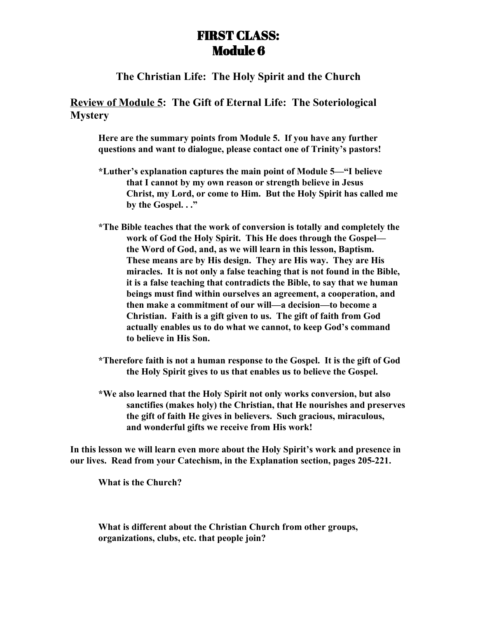## FIRST CLASS: Module 6

## **The Christian Life: The Holy Spirit and the Church**

**Review of Module 5: The Gift of Eternal Life: The Soteriological Mystery**

**Here are the summary points from Module 5. If you have any further questions and want to dialogue, please contact one of Trinity's pastors!**

- **\*Luther's explanation captures the main point of Module 5—"I believe that I cannot by my own reason or strength believe in Jesus Christ, my Lord, or come to Him. But the Holy Spirit has called me by the Gospel. . ."**
- **\*The Bible teaches that the work of conversion is totally and completely the work of God the Holy Spirit. This He does through the Gospel the Word of God, and, as we will learn in this lesson, Baptism. These means are by His design. They are His way. They are His miracles. It is not only a false teaching that is not found in the Bible, it is a false teaching that contradicts the Bible, to say that we human beings must find within ourselves an agreement, a cooperation, and then make a commitment of our will—a decision—to become a Christian. Faith is a gift given to us. The gift of faith from God actually enables us to do what we cannot, to keep God's command to believe in His Son.**
- **\*Therefore faith is not a human response to the Gospel. It is the gift of God the Holy Spirit gives to us that enables us to believe the Gospel.**
- **\*We also learned that the Holy Spirit not only works conversion, but also sanctifies (makes holy) the Christian, that He nourishes and preserves the gift of faith He gives in believers. Such gracious, miraculous, and wonderful gifts we receive from His work!**

**In this lesson we will learn even more about the Holy Spirit's work and presence in our lives. Read from your Catechism, in the Explanation section, pages 205-221.**

**What is the Church?**

**What is different about the Christian Church from other groups, organizations, clubs, etc. that people join?**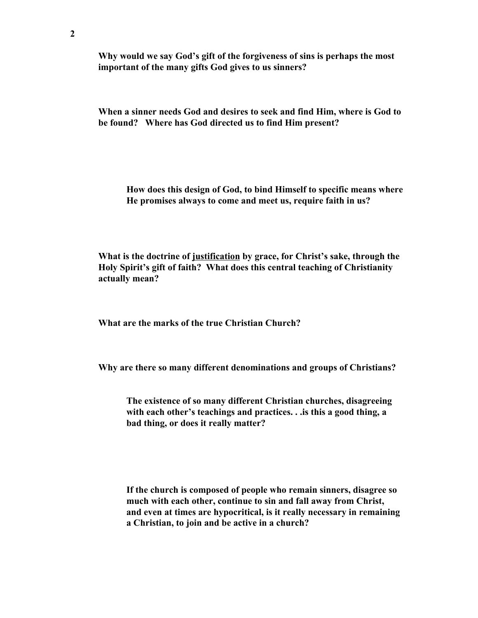**Why would we say God's gift of the forgiveness of sins is perhaps the most important of the many gifts God gives to us sinners?**

**When a sinner needs God and desires to seek and find Him, where is God to be found? Where has God directed us to find Him present?**

**How does this design of God, to bind Himself to specific means where He promises always to come and meet us, require faith in us?**

**What is the doctrine of justification by grace, for Christ's sake, through the Holy Spirit's gift of faith? What does this central teaching of Christianity actually mean?**

**What are the marks of the true Christian Church?**

**Why are there so many different denominations and groups of Christians?**

**The existence of so many different Christian churches, disagreeing with each other's teachings and practices. . .is this a good thing, a bad thing, or does it really matter?**

**If the church is composed of people who remain sinners, disagree so much with each other, continue to sin and fall away from Christ, and even at times are hypocritical, is it really necessary in remaining a Christian, to join and be active in a church?**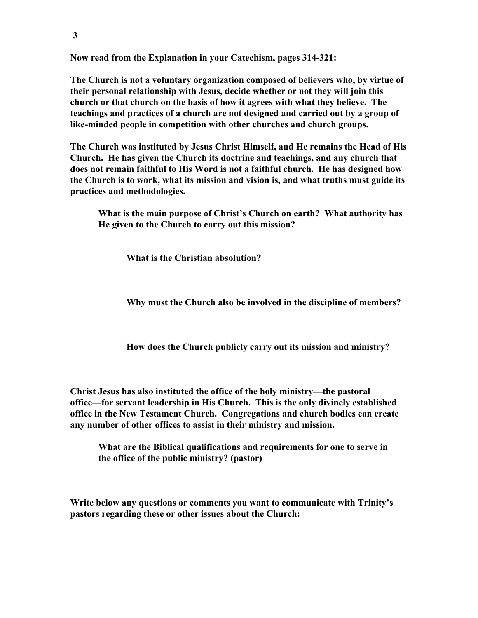**Now read from the Explanation in your Catechism, pages 314-321:**

**The Church is not a voluntary organization composed of believers who, by virtue of their personal relationship with Jesus, decide whether or not they will join this church or that church on the basis of how it agrees with what they believe. The teachings and practices of a church are not designed and carried out by a group of like-minded people in competition with other churches and church groups.**

**The Church was instituted by Jesus Christ Himself, and He remains the Head of His Church. He has given the Church its doctrine and teachings, and any church that does not remain faithful to His Word is not a faithful church. He has designed how the Church is to work, what its mission and vision is, and what truths must guide its practices and methodologies.**

**What is the main purpose of Christ's Church on earth? What authority has He given to the Church to carry out this mission?**

**What is the Christian absolution?**

**Why must the Church also be involved in the discipline of members?**

**How does the Church publicly carry out its mission and ministry?**

**Christ Jesus has also instituted the office of the holy ministry—the pastoral office—for servant leadership in His Church. This is the only divinely established office in the New Testament Church. Congregations and church bodies can create any number of other offices to assist in their ministry and mission.**

**What are the Biblical qualifications and requirements for one to serve in the office of the public ministry? (pastor)**

**Write below any questions or comments you want to communicate with Trinity's pastors regarding these or other issues about the Church:**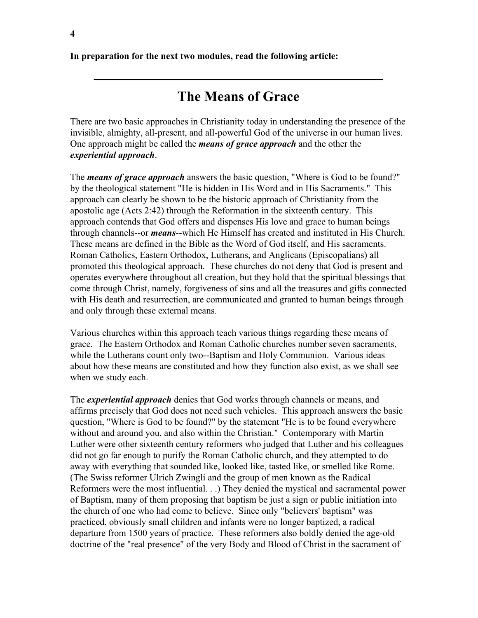**In preparation for the next two modules, read the following article:**

## **The Means of Grace**

**\_\_\_\_\_\_\_\_\_\_\_\_\_\_\_\_\_\_\_\_\_\_\_\_\_\_\_\_\_\_\_\_\_\_\_\_\_**

There are two basic approaches in Christianity today in understanding the presence of the invisible, almighty, all-present, and all-powerful God of the universe in our human lives. One approach might be called the *means of grace approach* and the other the *experiential approach*.

The *means of grace approach* answers the basic question, "Where is God to be found?" by the theological statement "He is hidden in His Word and in His Sacraments." This approach can clearly be shown to be the historic approach of Christianity from the apostolic age (Acts 2:42) through the Reformation in the sixteenth century. This approach contends that God offers and dispenses His love and grace to human beings through channels--or *means*--which He Himself has created and instituted in His Church. These means are defined in the Bible as the Word of God itself, and His sacraments. Roman Catholics, Eastern Orthodox, Lutherans, and Anglicans (Episcopalians) all promoted this theological approach. These churches do not deny that God is present and operates everywhere throughout all creation, but they hold that the spiritual blessings that come through Christ, namely, forgiveness of sins and all the treasures and gifts connected with His death and resurrection, are communicated and granted to human beings through and only through these external means.

Various churches within this approach teach various things regarding these means of grace. The Eastern Orthodox and Roman Catholic churches number seven sacraments, while the Lutherans count only two--Baptism and Holy Communion. Various ideas about how these means are constituted and how they function also exist, as we shall see when we study each.

The *experiential approach* denies that God works through channels or means, and affirms precisely that God does not need such vehicles. This approach answers the basic question, "Where is God to be found?" by the statement "He is to be found everywhere without and around you, and also within the Christian." Contemporary with Martin Luther were other sixteenth century reformers who judged that Luther and his colleagues did not go far enough to purify the Roman Catholic church, and they attempted to do away with everything that sounded like, looked like, tasted like, or smelled like Rome. (The Swiss reformer Ulrich Zwingli and the group of men known as the Radical Reformers were the most influential. . .) They denied the mystical and sacramental power of Baptism, many of them proposing that baptism be just a sign or public initiation into the church of one who had come to believe. Since only "believers' baptism" was practiced, obviously small children and infants were no longer baptized, a radical departure from 1500 years of practice. These reformers also boldly denied the age-old doctrine of the "real presence" of the very Body and Blood of Christ in the sacrament of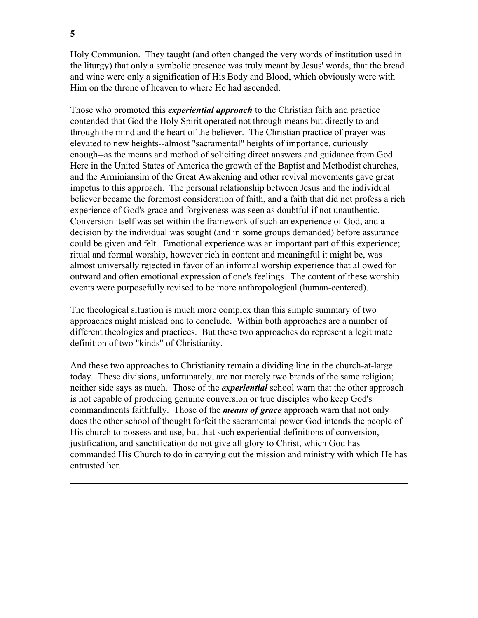Holy Communion. They taught (and often changed the very words of institution used in the liturgy) that only a symbolic presence was truly meant by Jesus' words, that the bread and wine were only a signification of His Body and Blood, which obviously were with Him on the throne of heaven to where He had ascended.

Those who promoted this *experiential approach* to the Christian faith and practice contended that God the Holy Spirit operated not through means but directly to and through the mind and the heart of the believer. The Christian practice of prayer was elevated to new heights--almost "sacramental" heights of importance, curiously enough--as the means and method of soliciting direct answers and guidance from God. Here in the United States of America the growth of the Baptist and Methodist churches, and the Arminiansim of the Great Awakening and other revival movements gave great impetus to this approach. The personal relationship between Jesus and the individual believer became the foremost consideration of faith, and a faith that did not profess a rich experience of God's grace and forgiveness was seen as doubtful if not unauthentic. Conversion itself was set within the framework of such an experience of God, and a decision by the individual was sought (and in some groups demanded) before assurance could be given and felt. Emotional experience was an important part of this experience; ritual and formal worship, however rich in content and meaningful it might be, was almost universally rejected in favor of an informal worship experience that allowed for outward and often emotional expression of one's feelings. The content of these worship events were purposefully revised to be more anthropological (human-centered).

The theological situation is much more complex than this simple summary of two approaches might mislead one to conclude. Within both approaches are a number of different theologies and practices. But these two approaches do represent a legitimate definition of two "kinds" of Christianity.

And these two approaches to Christianity remain a dividing line in the church-at-large today. These divisions, unfortunately, are not merely two brands of the same religion; neither side says as much. Those of the *experiential* school warn that the other approach is not capable of producing genuine conversion or true disciples who keep God's commandments faithfully. Those of the *means of grace* approach warn that not only does the other school of thought forfeit the sacramental power God intends the people of His church to possess and use, but that such experiential definitions of conversion, justification, and sanctification do not give all glory to Christ, which God has commanded His Church to do in carrying out the mission and ministry with which He has entrusted her.